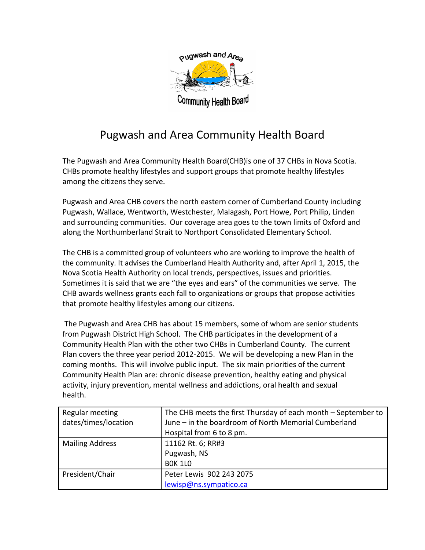

## Pugwash and Area Community Health Board

The Pugwash and Area Community Health Board(CHB)is one of 37 CHBs in Nova Scotia. CHBs promote healthy lifestyles and support groups that promote healthy lifestyles among the citizens they serve.

Pugwash and Area CHB covers the north eastern corner of Cumberland County including Pugwash, Wallace, Wentworth, Westchester, Malagash, Port Howe, Port Philip, Linden and surrounding communities. Our coverage area goes to the town limits of Oxford and along the Northumberland Strait to Northport Consolidated Elementary School.

The CHB is a committed group of volunteers who are working to improve the health of the community. It advises the Cumberland Health Authority and, after April 1, 2015, the Nova Scotia Health Authority on local trends, perspectives, issues and priorities. Sometimes it is said that we are "the eyes and ears" of the communities we serve. The CHB awards wellness grants each fall to organizations or groups that propose activities that promote healthy lifestyles among our citizens.

 The Pugwash and Area CHB has about 15 members, some of whom are senior students from Pugwash District High School. The CHB participates in the development of a Community Health Plan with the other two CHBs in Cumberland County. The current Plan covers the three year period 2012-2015. We will be developing a new Plan in the coming months. This will involve public input. The six main priorities of the current Community Health Plan are: chronic disease prevention, healthy eating and physical activity, injury prevention, mental wellness and addictions, oral health and sexual health.

| Regular meeting        | The CHB meets the first Thursday of each month – September to |
|------------------------|---------------------------------------------------------------|
| dates/times/location   | June - in the boardroom of North Memorial Cumberland          |
|                        | Hospital from 6 to 8 pm.                                      |
| <b>Mailing Address</b> | 11162 Rt. 6; RR#3                                             |
|                        | Pugwash, NS                                                   |
|                        | <b>BOK 1LO</b>                                                |
| President/Chair        | Peter Lewis 902 243 2075                                      |
|                        | lewisp@ns.sympatico.ca                                        |